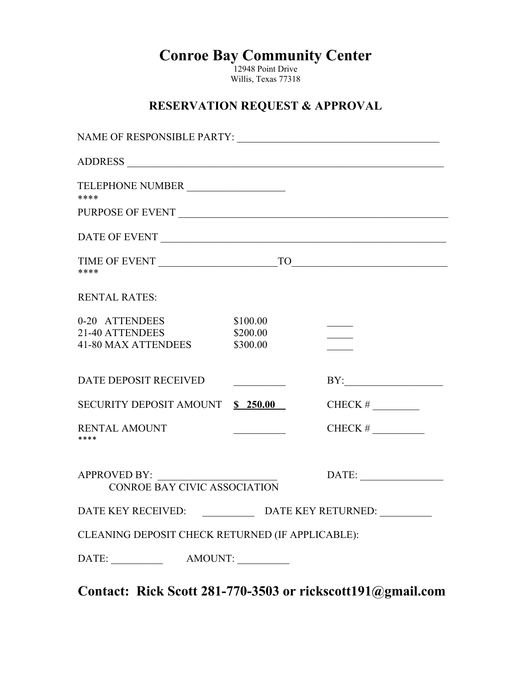**Conroe Bay Community Center**

12948 Point Drive Willis, Texas 77318

### **RESERVATION REQUEST & APPROVAL**

| TELEPHONE NUMBER<br>****                                        |                                  |                                                                                                                                                                                                                                                                                                                                                             |
|-----------------------------------------------------------------|----------------------------------|-------------------------------------------------------------------------------------------------------------------------------------------------------------------------------------------------------------------------------------------------------------------------------------------------------------------------------------------------------------|
| PURPOSE OF EVENT $\_$                                           |                                  |                                                                                                                                                                                                                                                                                                                                                             |
|                                                                 |                                  |                                                                                                                                                                                                                                                                                                                                                             |
| ****                                                            |                                  |                                                                                                                                                                                                                                                                                                                                                             |
| <b>RENTAL RATES:</b>                                            |                                  |                                                                                                                                                                                                                                                                                                                                                             |
| 0-20 ATTENDEES<br>21-40 ATTENDEES<br><b>41-80 MAX ATTENDEES</b> | \$100.00<br>\$200.00<br>\$300.00 |                                                                                                                                                                                                                                                                                                                                                             |
| <b>DATE DEPOSIT RECEIVED</b>                                    |                                  | $BY: \begin{tabular}{ c c c } \hline \rule{0.2cm}{.01cm} \rule{0.2cm}{.01cm} \rule{0.2cm}{.01cm} \rule{0.2cm}{.01cm} \rule{0.2cm}{.01cm} \rule{0.2cm}{.01cm} \rule{0.2cm}{.01cm} \rule{0.2cm}{.01cm} \rule{0.2cm}{.01cm} \rule{0.2cm}{.01cm} \rule{0.2cm}{.01cm} \rule{0.2cm}{.01cm} \rule{0.2cm}{.01cm} \rule{0.2cm}{.01cm} \rule{0.2cm}{.01cm} \rule{0.2$ |
| SECURITY DEPOSIT AMOUNT \$ 250.00                               |                                  |                                                                                                                                                                                                                                                                                                                                                             |
| <b>RENTAL AMOUNT</b><br>****                                    |                                  | CHECK # $\qquad \qquad$                                                                                                                                                                                                                                                                                                                                     |
| <b>APPROVED BY:</b><br><b>CONROE BAY CIVIC ASSOCIATION</b>      |                                  | DATE:                                                                                                                                                                                                                                                                                                                                                       |
| DATE KEY RECEIVED: DATE KEY RETURNED: _________                 |                                  |                                                                                                                                                                                                                                                                                                                                                             |
| CLEANING DEPOSIT CHECK RETURNED (IF APPLICABLE):                |                                  |                                                                                                                                                                                                                                                                                                                                                             |
|                                                                 |                                  |                                                                                                                                                                                                                                                                                                                                                             |

**Contact: Rick Scott 281-770-3503 or rickscott191@gmail.com**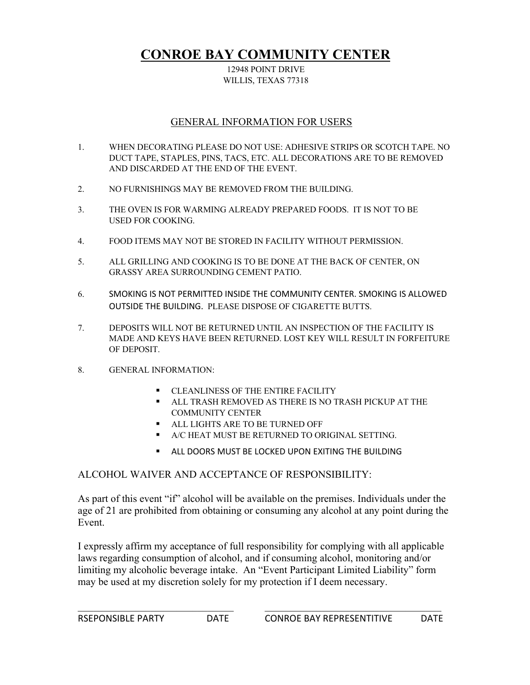### **CONROE BAY COMMUNITY CENTER**

#### 12948 POINT DRIVE WILLIS, TEXAS 77318

### GENERAL INFORMATION FOR USERS

- 1. WHEN DECORATING PLEASE DO NOT USE: ADHESIVE STRIPS OR SCOTCH TAPE. NO DUCT TAPE, STAPLES, PINS, TACS, ETC. ALL DECORATIONS ARE TO BE REMOVED AND DISCARDED AT THE END OF THE EVENT.
- 2. NO FURNISHINGS MAY BE REMOVED FROM THE BUILDING.
- 3. THE OVEN IS FOR WARMING ALREADY PREPARED FOODS. IT IS NOT TO BE USED FOR COOKING.
- 4. FOOD ITEMS MAY NOT BE STORED IN FACILITY WITHOUT PERMISSION.
- 5. ALL GRILLING AND COOKING IS TO BE DONE AT THE BACK OF CENTER, ON GRASSY AREA SURROUNDING CEMENT PATIO.
- 6. SMOKING IS NOT PERMITTED INSIDE THE COMMUNITY CENTER. SMOKING IS ALLOWED OUTSIDE THE BUILDING. PLEASE DISPOSE OF CIGARETTE BUTTS.
- 7. DEPOSITS WILL NOT BE RETURNED UNTIL AN INSPECTION OF THE FACILITY IS MADE AND KEYS HAVE BEEN RETURNED. LOST KEY WILL RESULT IN FORFEITURE OF DEPOSIT.
- 8. GENERAL INFORMATION:
	- § CLEANLINESS OF THE ENTIRE FACILITY
	- § ALL TRASH REMOVED AS THERE IS NO TRASH PICKUP AT THE COMMUNITY CENTER
	- § ALL LIGHTS ARE TO BE TURNED OFF
	- § A/C HEAT MUST BE RETURNED TO ORIGINAL SETTING.
	- **EXECTED ALL DOORS MUST BE LOCKED UPON EXITING THE BUILDING**

#### ALCOHOL WAIVER AND ACCEPTANCE OF RESPONSIBILITY:

As part of this event "if" alcohol will be available on the premises. Individuals under the age of 21 are prohibited from obtaining or consuming any alcohol at any point during the Event.

I expressly affirm my acceptance of full responsibility for complying with all applicable laws regarding consumption of alcohol, and if consuming alcohol, monitoring and/or limiting my alcoholic beverage intake. An "Event Participant Limited Liability" form may be used at my discretion solely for my protection if I deem necessary.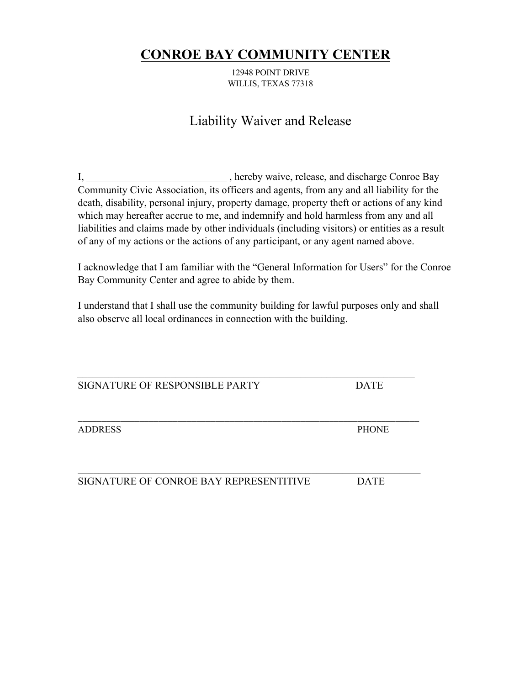### **CONROE BAY COMMUNITY CENTER**

12948 POINT DRIVE WILLIS, TEXAS 77318

## Liability Waiver and Release

I, hereby waive, release, and discharge Conroe Bay Community Civic Association, its officers and agents, from any and all liability for the death, disability, personal injury, property damage, property theft or actions of any kind which may hereafter accrue to me, and indemnify and hold harmless from any and all liabilities and claims made by other individuals (including visitors) or entities as a result of any of my actions or the actions of any participant, or any agent named above.

I acknowledge that I am familiar with the "General Information for Users" for the Conroe Bay Community Center and agree to abide by them.

I understand that I shall use the community building for lawful purposes only and shall also observe all local ordinances in connection with the building.

SIGNATURE OF RESPONSIBLE PARTY DATE

\_\_\_\_\_\_\_\_\_\_\_\_\_\_\_\_\_\_\_\_\_\_\_\_\_\_\_\_\_\_\_\_\_\_\_\_\_\_\_\_\_\_\_\_\_\_\_\_\_\_\_\_\_\_\_\_\_\_\_\_\_\_\_\_\_\_\_\_\_\_\_\_

ADDRESS PHONE

SIGNATURE OF CONROE BAY REPRESENTITIVE DATE